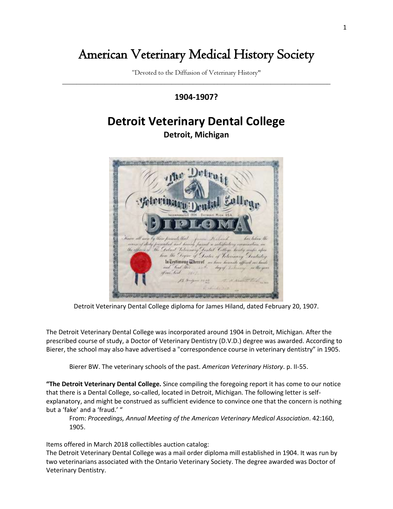## American Veterinary Medical History Society

"Devoted to the Diffusion of Veterinary History" \_\_\_\_\_\_\_\_\_\_\_\_\_\_\_\_\_\_\_\_\_\_\_\_\_\_\_\_\_\_\_\_\_\_\_\_\_\_\_\_\_\_\_\_\_\_\_\_\_\_\_\_\_\_\_\_\_\_\_\_\_\_\_\_\_\_\_\_\_\_\_\_\_\_\_\_

## **1904-1907?**

## **Detroit Veterinary Dental College**

**Detroit, Michigan**



Detroit Veterinary Dental College diploma for James Hiland, dated February 20, 1907.

The Detroit Veterinary Dental College was incorporated around 1904 in Detroit, Michigan. After the prescribed course of study, a Doctor of Veterinary Dentistry (D.V.D.) degree was awarded. According to Bierer, the school may also have advertised a "correspondence course in veterinary dentistry" in 1905.

Bierer BW. The veterinary schools of the past. *American Veterinary History*. p. II-55.

**"The Detroit Veterinary Dental College.** Since compiling the foregoing report it has come to our notice that there is a Dental College, so-called, located in Detroit, Michigan. The following letter is selfexplanatory, and might be construed as sufficient evidence to convince one that the concern is nothing but a 'fake' and a 'fraud.' "

From: *Proceedings, Annual Meeting of the American Veterinary Medical Association*. 42:160, 1905.

Items offered in March 2018 collectibles auction catalog:

The Detroit Veterinary Dental College was a mail order diploma mill established in 1904. It was run by two veterinarians associated with the Ontario Veterinary Society. The degree awarded was Doctor of Veterinary Dentistry.